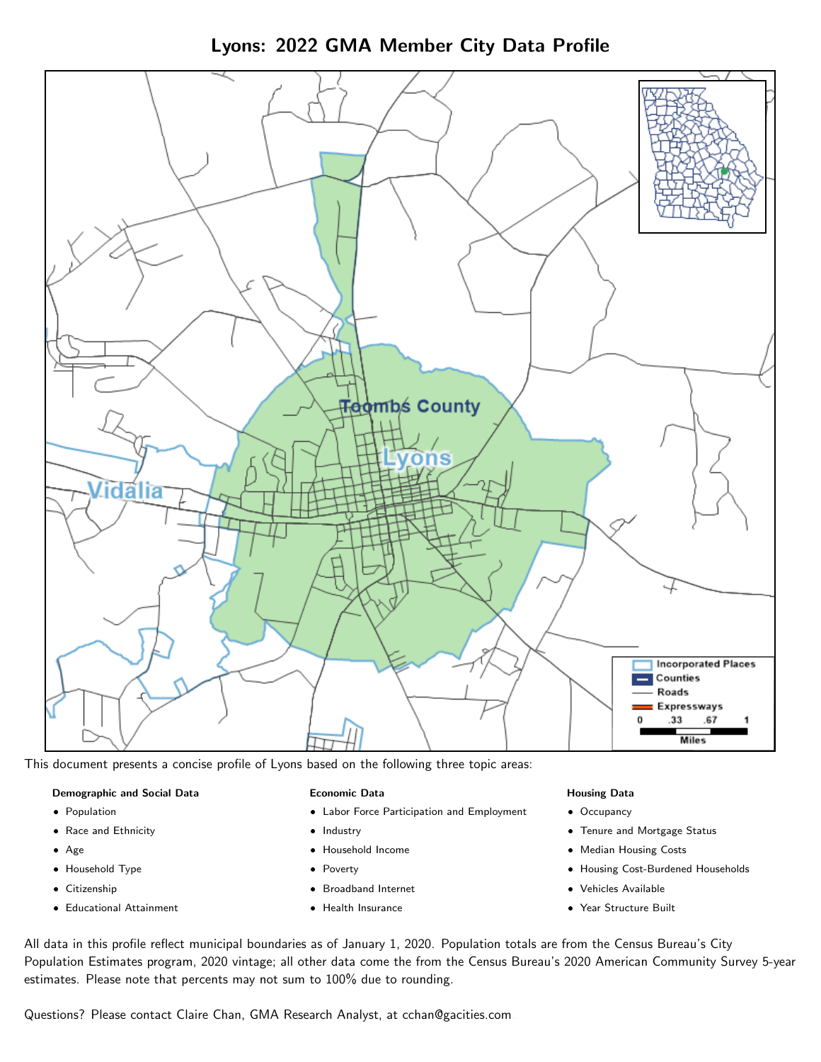Lyons: 2022 GMA Member City Data Profile



This document presents a concise profile of Lyons based on the following three topic areas:

## Demographic and Social Data

- **•** Population
- Race and Ethnicity
- Age
- Household Type
- **Citizenship**
- Educational Attainment

## Economic Data

- Labor Force Participation and Employment
- Industry
- Household Income
- Poverty
- Broadband Internet
- Health Insurance

#### Housing Data

- Occupancy
- Tenure and Mortgage Status
- Median Housing Costs
- Housing Cost-Burdened Households
- Vehicles Available
- Year Structure Built

All data in this profile reflect municipal boundaries as of January 1, 2020. Population totals are from the Census Bureau's City Population Estimates program, 2020 vintage; all other data come the from the Census Bureau's 2020 American Community Survey 5-year estimates. Please note that percents may not sum to 100% due to rounding.

Questions? Please contact Claire Chan, GMA Research Analyst, at [cchan@gacities.com.](mailto:cchan@gacities.com)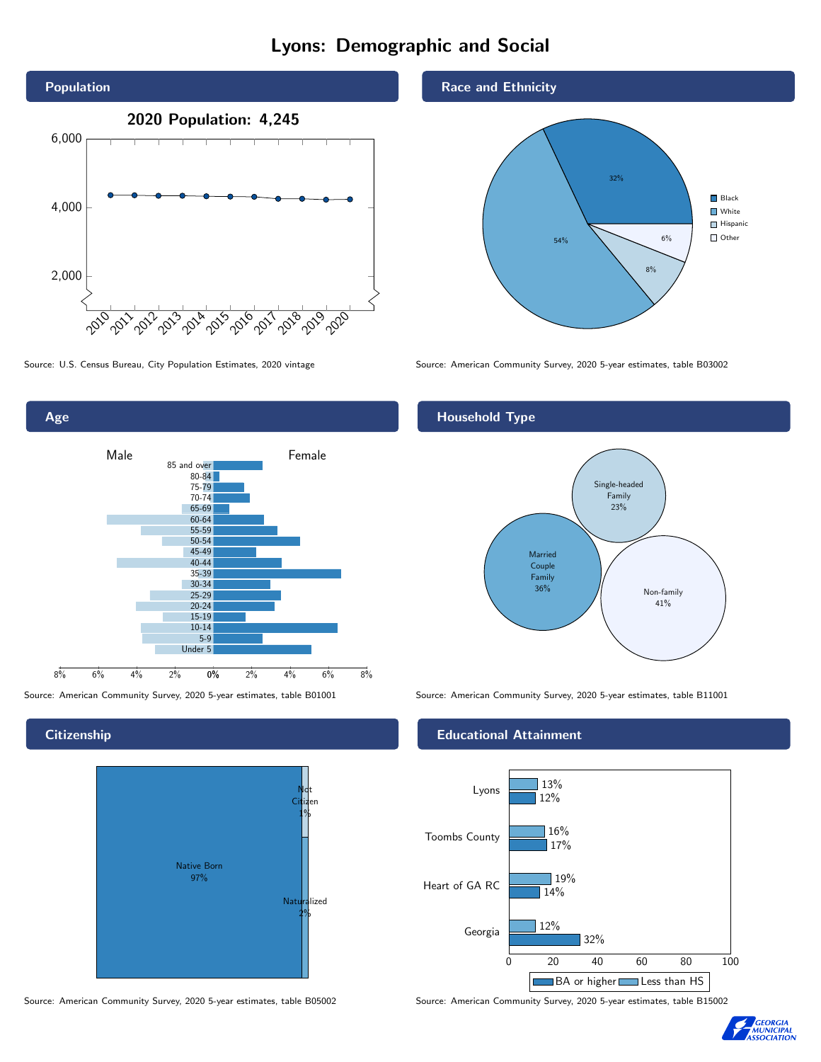# Lyons: Demographic and Social





**Citizenship** 

Age



Source: American Community Survey, 2020 5-year estimates, table B05002 Source: American Community Survey, 2020 5-year estimates, table B15002

## Race and Ethnicity



Source: U.S. Census Bureau, City Population Estimates, 2020 vintage Source: American Community Survey, 2020 5-year estimates, table B03002

# Household Type



Source: American Community Survey, 2020 5-year estimates, table B01001 Source: American Community Survey, 2020 5-year estimates, table B11001

#### Educational Attainment



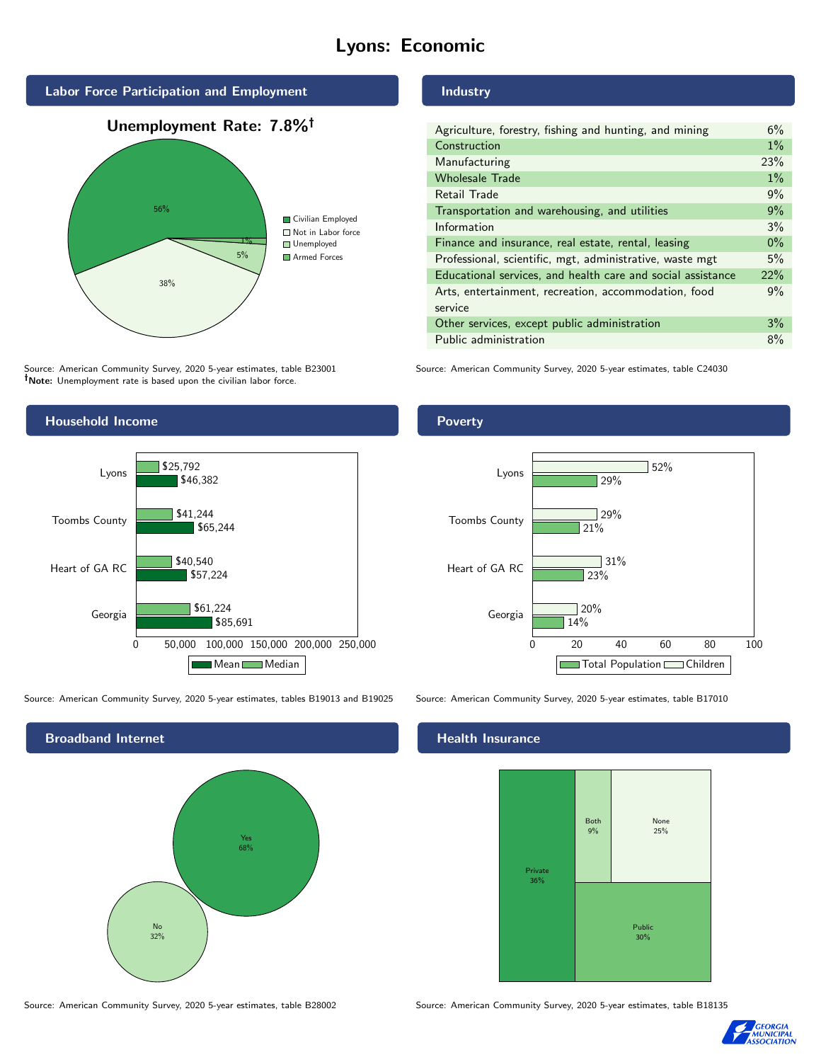# Lyons: Economic



# Industry

| Agriculture, forestry, fishing and hunting, and mining      | 6%    |
|-------------------------------------------------------------|-------|
| Construction                                                | $1\%$ |
| Manufacturing                                               | 23%   |
| <b>Wholesale Trade</b>                                      | $1\%$ |
| Retail Trade                                                | 9%    |
| Transportation and warehousing, and utilities               | 9%    |
| Information                                                 | 3%    |
| Finance and insurance, real estate, rental, leasing         | $0\%$ |
| Professional, scientific, mgt, administrative, waste mgt    | 5%    |
| Educational services, and health care and social assistance | 22%   |
| Arts, entertainment, recreation, accommodation, food        | 9%    |
| service                                                     |       |
| Other services, except public administration                | 3%    |
| Public administration                                       | 8%    |

Source: American Community Survey, 2020 5-year estimates, table C24030

Source: American Community Survey, 2020 5-year estimates, table B23001 Note: Unemployment rate is based upon the civilian labor force.

38%





Source: American Community Survey, 2020 5-year estimates, tables B19013 and B19025 Source: American Community Survey, 2020 5-year estimates, table B17010

\$57,224

\$40,540

\$61,224

Georgia

Heart of GA RC

0 50,000 100,000 150,000 200,000 250,000

Mean Median

\$85,691

Broadband Internet No 32% Yes 68%

#### Health Insurance



Source: American Community Survey, 2020 5-year estimates, table B28002 Source: American Community Survey, 2020 5-year estimates, table B18135